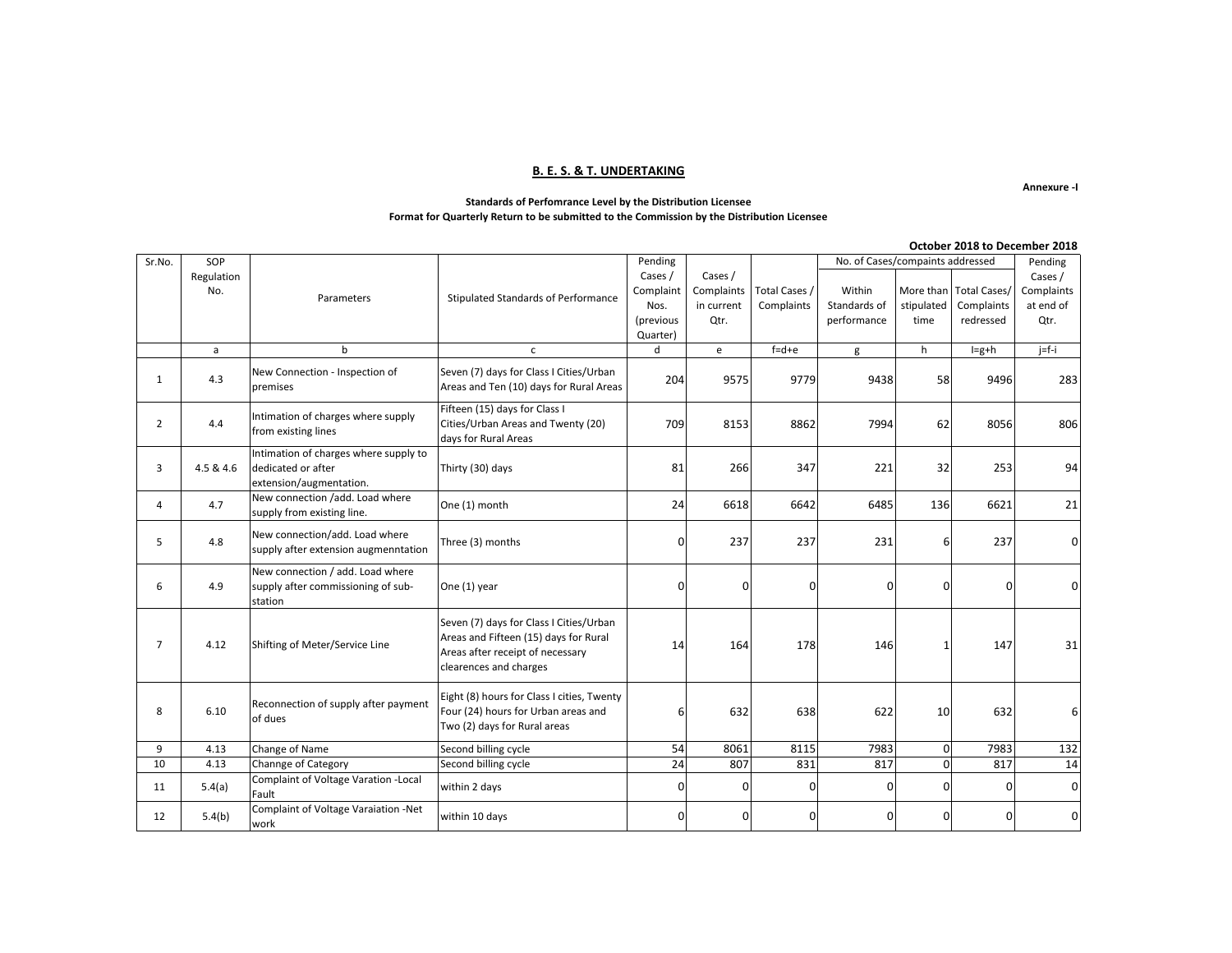### **B. E. S. & T. UNDERTAKING**

**Annexure -I**

#### **Standards of Perfomrance Level by the Distribution Licensee Format for Quarterly Return to be submitted to the Commission by the Distribution Licensee**

|                | October 2018 to December 2018 |                                                                                        |                                                                                                                                                |             |                |               |                                  |            |                        |            |  |
|----------------|-------------------------------|----------------------------------------------------------------------------------------|------------------------------------------------------------------------------------------------------------------------------------------------|-------------|----------------|---------------|----------------------------------|------------|------------------------|------------|--|
| Sr.No.         | SOP                           |                                                                                        |                                                                                                                                                | Pending     |                |               | No. of Cases/compaints addressed |            |                        | Pending    |  |
|                | Regulation                    |                                                                                        |                                                                                                                                                | Cases /     | Cases /        |               |                                  |            |                        | Cases /    |  |
|                | No.                           | Parameters                                                                             | Stipulated Standards of Performance                                                                                                            | Complaint   | Complaints     | Total Cases / | Within                           |            | More than Total Cases/ | Complaints |  |
|                |                               |                                                                                        |                                                                                                                                                | Nos.        | in current     | Complaints    | Standards of                     | stipulated | Complaints             | at end of  |  |
|                |                               |                                                                                        |                                                                                                                                                | (previous   | Qtr.           |               | performance                      | time       | redressed              | Qtr.       |  |
|                |                               |                                                                                        |                                                                                                                                                | Quarter)    |                |               |                                  |            |                        |            |  |
|                | a                             | b                                                                                      | $\mathsf{C}$                                                                                                                                   | d           | e              | $f = d + e$   | g                                | h          | $I=g+h$                | $j=f-i$    |  |
| 1              | 4.3                           | New Connection - Inspection of<br>premises                                             | Seven (7) days for Class I Cities/Urban<br>Areas and Ten (10) days for Rural Areas                                                             | 204         | 9575           | 9779          | 9438                             | 58         | 9496                   | 283        |  |
| $\overline{2}$ | 4.4                           | Intimation of charges where supply<br>from existing lines                              | Fifteen (15) days for Class I<br>Cities/Urban Areas and Twenty (20)<br>days for Rural Areas                                                    | 709         | 8153           | 8862          | 7994                             | 62         | 8056                   | 806        |  |
| 3              | 4.5 & 4.6                     | Intimation of charges where supply to<br>dedicated or after<br>extension/augmentation. | Thirty (30) days                                                                                                                               | 81          | 266            | 347           | 221                              | 32         | 253                    | 94         |  |
| 4              | 4.7                           | New connection /add. Load where<br>supply from existing line.                          | One (1) month                                                                                                                                  | 24          | 6618           | 6642          | 6485                             | 136        | 6621                   | 21         |  |
| 5              | 4.8                           | New connection/add. Load where<br>supply after extension augmenntation                 | Three (3) months                                                                                                                               | $\Omega$    | 237            | 237           | 231                              | հ          | 237                    |            |  |
| 6              | 4.9                           | New connection / add. Load where<br>supply after commissioning of sub-<br>station      | One (1) year                                                                                                                                   | $\Omega$    | $\overline{0}$ | $\Omega$      | 0                                | 0          | 0                      |            |  |
| $\overline{7}$ | 4.12                          | Shifting of Meter/Service Line                                                         | Seven (7) days for Class I Cities/Urban<br>Areas and Fifteen (15) days for Rural<br>Areas after receipt of necessary<br>clearences and charges | 14          | 164            | 178           | 146                              |            | 147                    | 31         |  |
| 8              | 6.10                          | Reconnection of supply after payment<br>of dues                                        | Eight (8) hours for Class I cities, Twenty<br>Four (24) hours for Urban areas and<br>Two (2) days for Rural areas                              | 6           | 632            | 638           | 622                              | 10         | 632                    | 6          |  |
| 9              | 4.13                          | Change of Name                                                                         | Second billing cycle                                                                                                                           | 54          | 8061           | 8115          | 7983                             | $\Omega$   | 7983                   | 132        |  |
| 10             | 4.13                          | Channge of Category                                                                    | Second billing cycle                                                                                                                           | 24          | 807            | 831           | 817                              | $\Omega$   | 817                    | 14         |  |
| 11             | 5.4(a)                        | Complaint of Voltage Varation - Local<br>Fault                                         | within 2 days                                                                                                                                  | $\Omega$    | $\mathbf 0$    | $\Omega$      | $\Omega$                         | 0          | $\Omega$               | n          |  |
| 12             | 5.4(b)                        | Complaint of Voltage Varaiation -Net<br>work                                           | within 10 days                                                                                                                                 | $\mathbf 0$ | $\overline{0}$ | $\Omega$      | 0                                | 0          | 0                      | U          |  |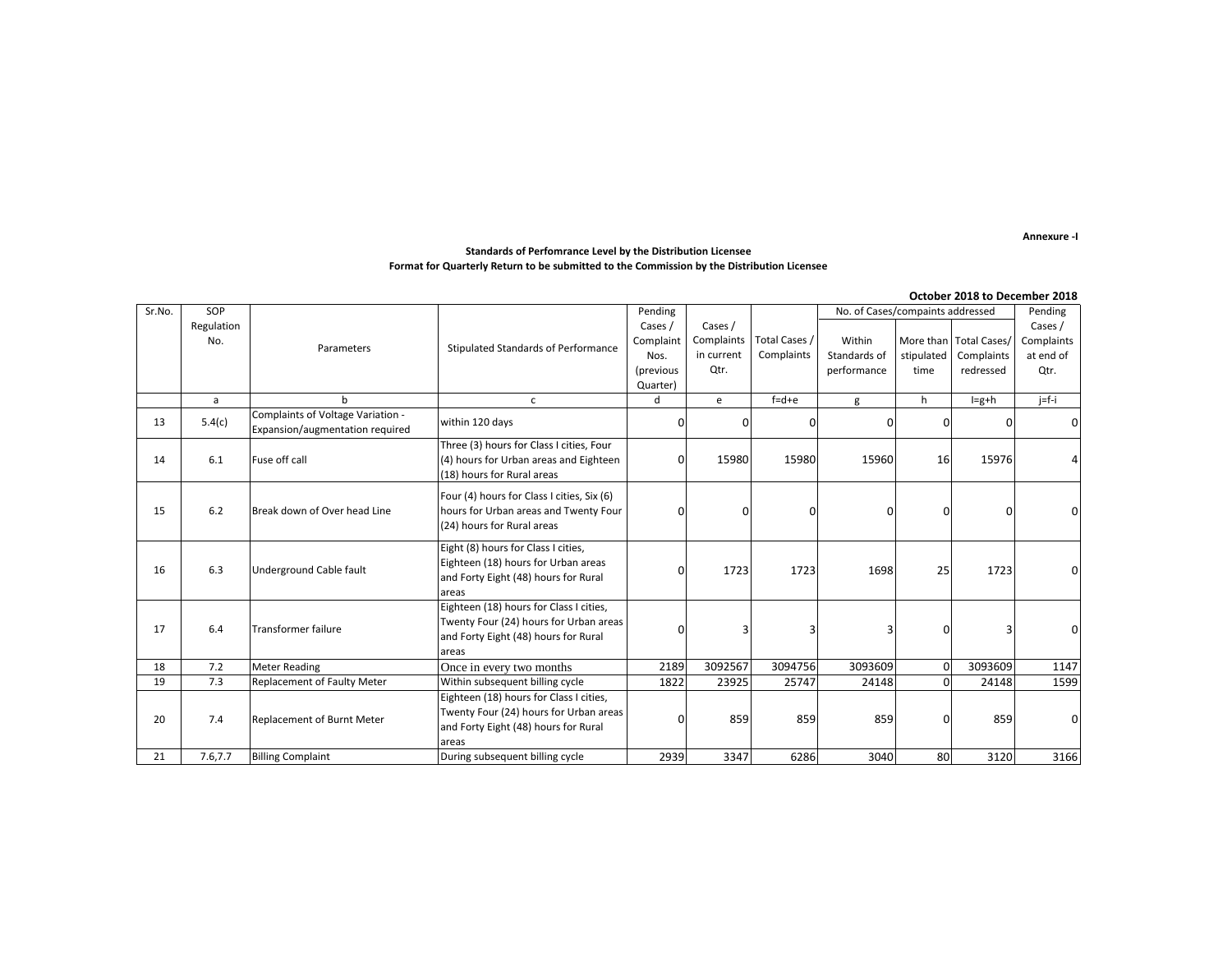**Annexure -I**

#### **Standards of Perfomrance Level by the Distribution Licensee Format for Quarterly Return to be submitted to the Commission by the Distribution Licensee**

|        |            |                                                                      |                                               |             |                |               |                                  |            |                        | October 2018 to December 2018 |
|--------|------------|----------------------------------------------------------------------|-----------------------------------------------|-------------|----------------|---------------|----------------------------------|------------|------------------------|-------------------------------|
| Sr.No. | SOP        |                                                                      |                                               | Pending     |                |               | No. of Cases/compaints addressed |            |                        | Pending                       |
|        | Regulation |                                                                      |                                               | Cases /     | Cases /        |               |                                  |            |                        | Cases /                       |
|        | No.        | Parameters                                                           | Stipulated Standards of Performance           | Complaint   | Complaints     | Total Cases / | Within                           |            | More than Total Cases/ | Complaints                    |
|        |            |                                                                      |                                               | Nos.        | in current     | Complaints    | Standards of                     | stipulated | Complaints             | at end of                     |
|        |            |                                                                      |                                               | (previous   | Qtr.           |               | performance                      | time       | redressed              | Qtr.                          |
|        |            |                                                                      |                                               | Quarter)    |                |               |                                  |            |                        |                               |
|        | a          | h                                                                    | $\mathsf{C}$                                  | $\mathbf d$ | e              | $f = d + e$   | g                                | h          | $I=g+h$                | $j=f-i$                       |
| 13     | 5.4(c)     | Complaints of Voltage Variation -<br>Expansion/augmentation required | within 120 days                               | $\Omega$    | 0              |               |                                  | n          |                        |                               |
|        |            |                                                                      | Three (3) hours for Class I cities, Four      |             |                |               |                                  |            |                        |                               |
| 14     | 6.1        | Fuse off call                                                        | (4) hours for Urban areas and Eighteen        | O           | 15980          | 15980         | 15960                            | 16         | 15976                  |                               |
|        |            |                                                                      | (18) hours for Rural areas                    |             |                |               |                                  |            |                        |                               |
|        |            |                                                                      | Four (4) hours for Class I cities, Six (6)    |             |                |               |                                  |            |                        |                               |
| 15     | 6.2        | Break down of Over head Line                                         | hours for Urban areas and Twenty Four         | $\Omega$    | $\overline{0}$ | $\Omega$      | U                                | n          | 0                      |                               |
|        |            |                                                                      | (24) hours for Rural areas                    |             |                |               |                                  |            |                        |                               |
|        |            |                                                                      |                                               |             |                |               |                                  |            |                        |                               |
|        |            |                                                                      | Eight (8) hours for Class I cities,           |             |                |               |                                  |            |                        |                               |
| 16     | 6.3        | Underground Cable fault                                              | Eighteen (18) hours for Urban areas           | $\Omega$    | 1723           | 1723          | 1698                             | 25         | 1723                   |                               |
|        |            |                                                                      | and Forty Eight (48) hours for Rural          |             |                |               |                                  |            |                        |                               |
|        |            |                                                                      | areas                                         |             |                |               |                                  |            |                        |                               |
|        |            |                                                                      | Eighteen (18) hours for Class I cities,       |             |                |               |                                  |            |                        |                               |
| 17     | 6.4        | <b>Transformer failure</b>                                           | Twenty Four (24) hours for Urban areas        | $\Omega$    | 3              | 3             | 3                                |            | 3                      |                               |
|        |            |                                                                      | and Forty Eight (48) hours for Rural<br>areas |             |                |               |                                  |            |                        |                               |
| 18     | 7.2        | <b>Meter Reading</b>                                                 | Once in every two months                      | 2189        | 3092567        | 3094756       | 3093609                          | $\Omega$   | 3093609                | 1147                          |
| 19     | 7.3        | Replacement of Faulty Meter                                          | Within subsequent billing cycle               | 1822        | 23925          | 25747         | 24148                            | $\Omega$   | 24148                  | 1599                          |
|        |            |                                                                      | Eighteen (18) hours for Class I cities,       |             |                |               |                                  |            |                        |                               |
|        |            |                                                                      | Twenty Four (24) hours for Urban areas        |             |                |               |                                  |            |                        |                               |
| 20     | 7.4        | Replacement of Burnt Meter                                           | and Forty Eight (48) hours for Rural          | $\Omega$    | 859            | 859           | 859                              |            | 859                    | U                             |
|        |            |                                                                      | areas                                         |             |                |               |                                  |            |                        |                               |
| 21     | 7.6,7.7    | <b>Billing Complaint</b>                                             | During subsequent billing cycle               | 2939        | 3347           | 6286          | 3040                             | 80         | 3120                   | 3166                          |
|        |            |                                                                      |                                               |             |                |               |                                  |            |                        |                               |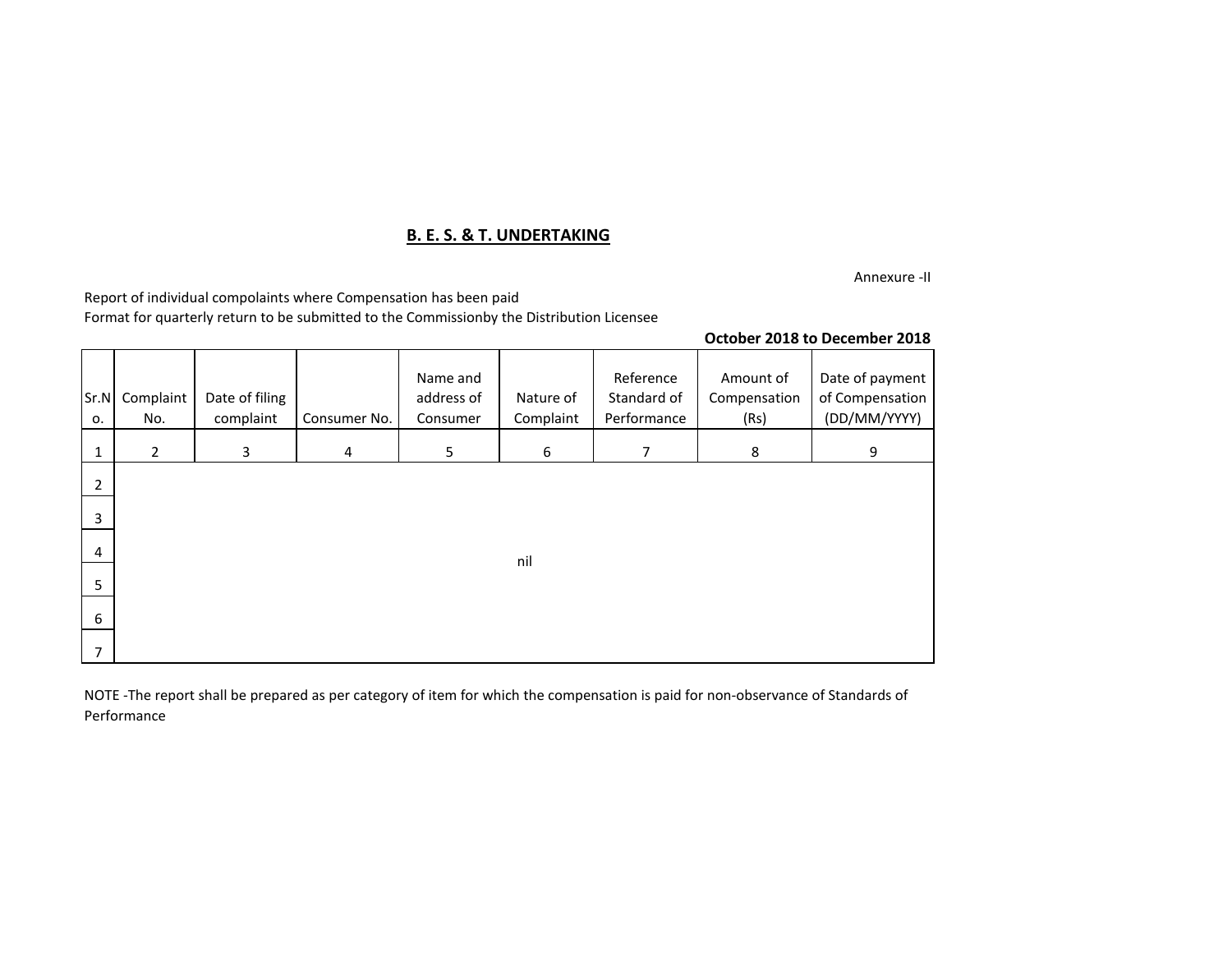# **B. E. S. & T. UNDERTAKING**

Annexure -II

Report of individual compolaints where Compensation has been paid

Format for quarterly return to be submitted to the Commissionby the Distribution Licensee

### **October 2018 to December 2018**

| Sr.N<br>о.     | Complaint<br>No. | Date of filing<br>complaint | Consumer No.   | Name and<br>address of<br>Consumer | Nature of<br>Complaint | Reference<br>Standard of<br>Performance | Amount of<br>Compensation<br>(Rs) | Date of payment<br>of Compensation<br>(DD/MM/YYYY) |
|----------------|------------------|-----------------------------|----------------|------------------------------------|------------------------|-----------------------------------------|-----------------------------------|----------------------------------------------------|
| $\mathbf{1}$   | $\overline{2}$   | 3                           | $\overline{a}$ | 5                                  | 6                      | 7                                       | 8                                 | 9                                                  |
| $\overline{2}$ |                  |                             |                |                                    |                        |                                         |                                   |                                                    |
| 3              |                  |                             |                |                                    |                        |                                         |                                   |                                                    |
| 4              |                  |                             |                |                                    | nil                    |                                         |                                   |                                                    |
| 5              |                  |                             |                |                                    |                        |                                         |                                   |                                                    |
| 6              |                  |                             |                |                                    |                        |                                         |                                   |                                                    |
| $\overline{7}$ |                  |                             |                |                                    |                        |                                         |                                   |                                                    |

NOTE -The report shall be prepared as per category of item for which the compensation is paid for non-observance of Standards of Performance